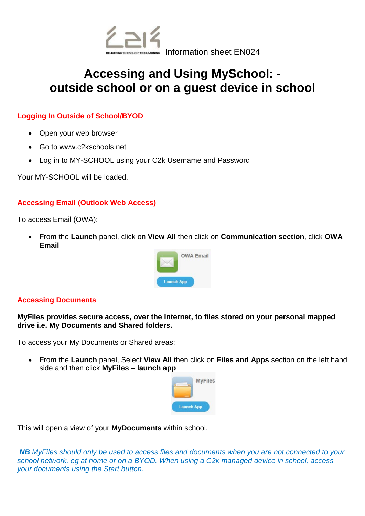

# **Accessing and Using MySchool: outside school or on a guest device in school**

# **Logging In Outside of School/BYOD**

- Open your web browser
- Go to www.c2kschools.net
- Log in to MY-SCHOOL using your C2k Username and Password

Your MY-SCHOOL will be loaded.

# **Accessing Email (Outlook Web Access)**

To access Email (OWA):

• From the **Launch** panel, click on **View All** then click on **Communication section**, click **OWA Email** 



#### **Accessing Documents**

**MyFiles provides secure access, over the Internet, to files stored on your personal mapped drive i.e. My Documents and Shared folders.** 

To access your My Documents or Shared areas:

• From the **Launch** panel, Select **View All** then click on **Files and Apps** section on the left hand side and then click **MyFiles – launch app** 



This will open a view of your **MyDocuments** within school.

*NB MyFiles should only be used to access files and documents when you are not connected to your school network, eg at home or on a BYOD. When using a C2k managed device in school, access your documents using the Start button.*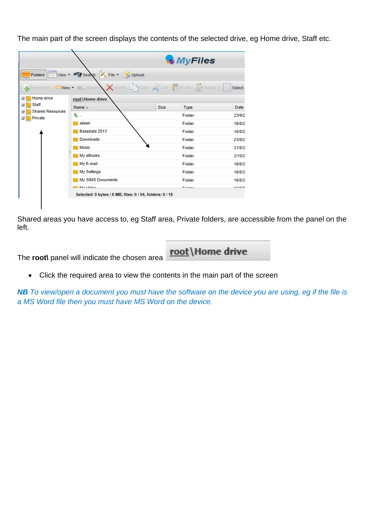The main part of the screen displays the contents of the selected drive, eg Home drive, Staff etc.

|                                                                                                        |                                                                                                                          |      | <b>MyFiles</b> |             |
|--------------------------------------------------------------------------------------------------------|--------------------------------------------------------------------------------------------------------------------------|------|----------------|-------------|
|                                                                                                        | Folders   View + Polseanch X File + Upload                                                                               |      |                |             |
| <b>Download</b>                                                                                        | $\times$ Delete $\Box$ Copy $\mathcal{A}$ Cut $\Box$ Paste $\Box$ Details $\Box$ Select<br><b>DEV New - L. L. Rename</b> |      |                |             |
| Home drive<br>$\overline{+}$<br><b>Staff</b><br>$\pm$<br><b>Shared Resources</b><br>Ξ<br>Private<br>田口 | root \Home drive                                                                                                         |      |                |             |
|                                                                                                        | Name $\triangle$                                                                                                         | Size | Type           | <b>Date</b> |
|                                                                                                        | €                                                                                                                        |      | Folder         | 23/9/2      |
|                                                                                                        | aileen                                                                                                                   |      | Folder         | 16/8/2      |
|                                                                                                        | Basedata 2013                                                                                                            |      | Folder         | 16/8/2      |
|                                                                                                        | Downloads                                                                                                                |      | Folder         | 23/9/2      |
|                                                                                                        | <b>Music</b>                                                                                                             |      | Folder         | 21/8/2      |
|                                                                                                        | My eBooks                                                                                                                |      | Folder         | 2/10/2      |
|                                                                                                        | My E-mail                                                                                                                |      | Folder         | 16/8/2      |
|                                                                                                        | My Settings                                                                                                              |      | Folder         | 16/8/2      |
|                                                                                                        | My SIMS Documents                                                                                                        |      | Folder         | 16/8/2      |
|                                                                                                        | <b>Bill</b> Mu Video                                                                                                     |      | <b>Falder</b>  | 4.C.IO.IO   |
|                                                                                                        | Selected: 0 bytes / 6 MB, files: 0 / 54, folders: 0 / 18                                                                 |      |                |             |
|                                                                                                        |                                                                                                                          |      |                |             |

Shared areas you have access to, eg Staff area, Private folders, are accessible from the panel on the left.



• Click the required area to view the contents in the main part of the screen

*NB To view/open a document you must have the software on the device you are using, eg if the file is a MS Word file then you must have MS Word on the device.*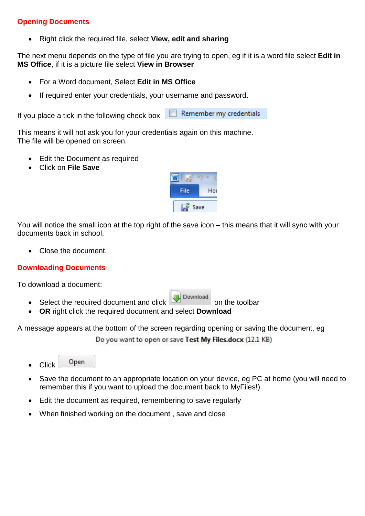# **Opening Documents**

• Right click the required file, select **View, edit and sharing** 

The next menu depends on the type of file you are trying to open, eg if it is a word file select **Edit in MS Office**, if it is a picture file select **View in Browser** 

- For a Word document, Select **Edit in MS Office**
- If required enter your credentials, your username and password.

Remember my credentials If you place a tick in the following check box

This means it will not ask you for your credentials again on this machine. The file will be opened on screen.

- Edit the Document as required
- Click on **File Save**



You will notice the small icon at the top right of the save icon – this means that it will sync with your documents back in school.

• Close the document.

# **Downloading Documents**

To download a document:

- Select the required document and click  $\blacktriangleright$  Download on the toolbar
	- **OR** right click the required document and select **Download**

A message appears at the bottom of the screen regarding opening or saving the document, eg

Do you want to open or save Test My Files.docx (12.1 KB)

- Open • Click
- Save the document to an appropriate location on your device, eg PC at home (you will need to remember this if you want to upload the document back to MyFiles!)
- Edit the document as required, remembering to save regularly
- When finished working on the document, save and close